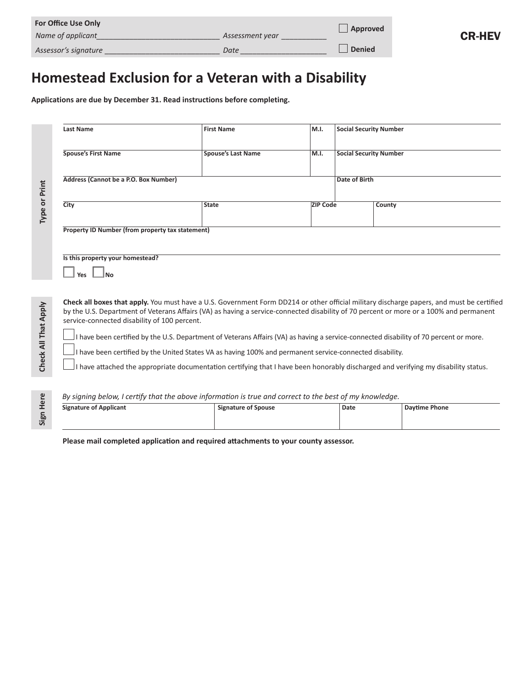| <b>For Office Use Only</b> | Approved        |               |
|----------------------------|-----------------|---------------|
| Name of applicant          | Assessment year |               |
| Assessor's signature       | Date            | <b>Denied</b> |

# **Homestead Exclusion for a Veteran with a Disability**

**Applications are due by December 31. Read instructions before completing.** 

| Type or Print        | <b>Last Name</b>                                                                                                                                                                                                                                                                                                                    | <b>First Name</b>          | M.I.            | <b>Social Security Number</b> |  |                      |  |
|----------------------|-------------------------------------------------------------------------------------------------------------------------------------------------------------------------------------------------------------------------------------------------------------------------------------------------------------------------------------|----------------------------|-----------------|-------------------------------|--|----------------------|--|
|                      | <b>Spouse's First Name</b>                                                                                                                                                                                                                                                                                                          | <b>Spouse's Last Name</b>  | M.I.            | <b>Social Security Number</b> |  |                      |  |
|                      | Address (Cannot be a P.O. Box Number)                                                                                                                                                                                                                                                                                               |                            |                 | <b>Date of Birth</b>          |  |                      |  |
|                      | City                                                                                                                                                                                                                                                                                                                                | <b>State</b>               | <b>ZIP Code</b> | County                        |  |                      |  |
|                      | Property ID Number (from property tax statement)                                                                                                                                                                                                                                                                                    |                            |                 |                               |  |                      |  |
|                      | Is this property your homestead?<br>Yes                                                                                                                                                                                                                                                                                             |                            |                 |                               |  |                      |  |
|                      | Check all boxes that apply. You must have a U.S. Government Form DD214 or other official military discharge papers, and must be certified<br>by the U.S. Department of Veterans Affairs (VA) as having a service-connected disability of 70 percent or more or a 100% and permanent<br>service-connected disability of 100 percent. |                            |                 |                               |  |                      |  |
| Check All That Apply | I have been certified by the U.S. Department of Veterans Affairs (VA) as having a service-connected disability of 70 percent or more.<br>I have been certified by the United States VA as having 100% and permanent service-connected disability.                                                                                   |                            |                 |                               |  |                      |  |
|                      | I have attached the appropriate documentation certifying that I have been honorably discharged and verifying my disability status.                                                                                                                                                                                                  |                            |                 |                               |  |                      |  |
|                      | By signing below, I certify that the above information is true and correct to the best of my knowledge.                                                                                                                                                                                                                             |                            |                 |                               |  |                      |  |
| Sign Here            | <b>Signature of Applicant</b>                                                                                                                                                                                                                                                                                                       | <b>Signature of Spouse</b> |                 | <b>Date</b>                   |  | <b>Daytime Phone</b> |  |

CR-HEV

#### *By signing below, I certify that the above information is true and correct to the best of my knowledge.*

| <b>Signature of Applicant</b> | <b>Signature of Spouse</b> | Date | Davtime Phone |
|-------------------------------|----------------------------|------|---------------|
|                               |                            |      |               |

**Please mail completed application and required attachments to your county assessor.**